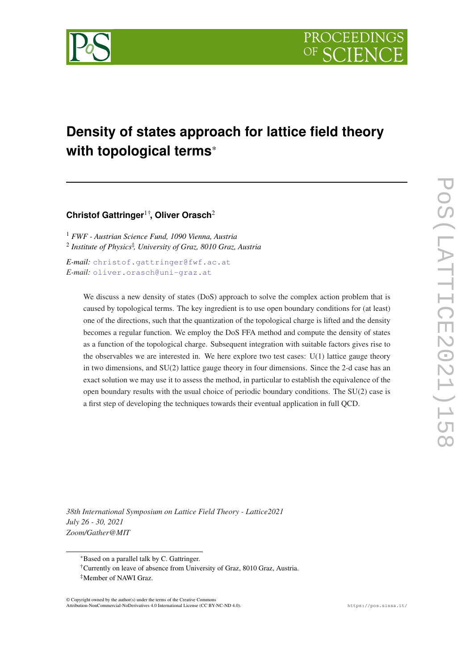

# **Density of states approach for lattice field theory with topological terms**\*

# **Christof Gattringer**1†**, Oliver Orasch**<sup>2</sup>

<sup>1</sup> *FWF - Austrian Science Fund, 1090 Vienna, Austria* 2 *Institute of Physics*‡ *, University of Graz, 8010 Graz, Austria*

*E-mail:* [christof.gattringer@fwf.ac.at](mailto:christof.gattringer@fwf.ac.at) *E-mail:* [oliver.orasch@uni-graz.at](mailto:oliver.orasch@uni-graz.at)

> We discuss a new density of states (DoS) approach to solve the complex action problem that is caused by topological terms. The key ingredient is to use open boundary conditions for (at least) one of the directions, such that the quantization of the topological charge is lifted and the density becomes a regular function. We employ the DoS FFA method and compute the density of states as a function of the topological charge. Subsequent integration with suitable factors gives rise to the observables we are interested in. We here explore two test cases:  $U(1)$  lattice gauge theory in two dimensions, and SU(2) lattice gauge theory in four dimensions. Since the 2-d case has an exact solution we may use it to assess the method, in particular to establish the equivalence of the open boundary results with the usual choice of periodic boundary conditions. The SU(2) case is a first step of developing the techniques towards their eventual application in full QCD.

*38th International Symposium on Lattice Field Theory - Lattice2021 July 26 - 30, 2021 Zoom/Gather@MIT*

© Copyright owned by the author(s) under the terms of the Creative Commons Attribution-NonCommercial-NoDerivatives 4.0 International License (CC BY-NC-ND 4.0). https://pos.sissa.it/

<sup>\*</sup>Based on a parallel talk by C. Gattringer.

<sup>†</sup>Currently on leave of absence from University of Graz, 8010 Graz, Austria. ‡Member of NAWI Graz.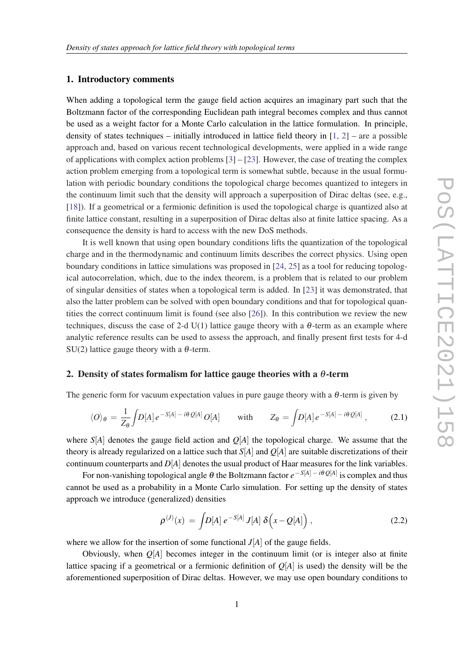#### <span id="page-1-0"></span>1. Introductory comments

When adding a topological term the gauge field action acquires an imaginary part such that the Boltzmann factor of the corresponding Euclidean path integral becomes complex and thus cannot be used as a weight factor for a Monte Carlo calculation in the lattice formulation. In principle, density of states techniques – initially introduced in lattice field theory in  $[1, 2]$  $[1, 2]$  $[1, 2]$  $[1, 2]$  – are a possible approach and, based on various recent technological developments, were applied in a wide range of applications with complex action problems  $[3]$  –  $[23]$  $[23]$ . However, the case of treating the complex action problem emerging from a topological term is somewhat subtle, because in the usual formulation with periodic boundary conditions the topological charge becomes quantized to integers in the continuum limit such that the density will approach a superposition of Dirac deltas (see, e.g., [[18\]](#page-8-0)). If a geometrical or a fermionic definition is used the topological charge is quantized also at finite lattice constant, resulting in a superposition of Dirac deltas also at finite lattice spacing. As a consequence the density is hard to access with the new DoS methods.

It is well known that using open boundary conditions lifts the quantization of the topological charge and in the thermodynamic and continuum limits describes the correct physics. Using open boundary conditions in lattice simulations was proposed in [\[24,](#page-8-0) [25](#page-8-0)] as a tool for reducing topological autocorrelation, which, due to the index theorem, is a problem that is related to our problem of singular densities of states when a topological term is added. In [\[23](#page-8-0)] it was demonstrated, that also the latter problem can be solved with open boundary conditions and that for topological quantities the correct continuum limit is found (see also [[26\]](#page-8-0)). In this contribution we review the new techniques, discuss the case of 2-d  $U(1)$  lattice gauge theory with a  $\theta$ -term as an example where analytic reference results can be used to assess the approach, and finally present first tests for 4-d SU(2) lattice gauge theory with a  $\theta$ -term.

### 2. Density of states formalism for lattice gauge theories with a  $\theta$ -term

The generic form for vacuum expectation values in pure gauge theory with a  $\theta$ -term is given by

$$
\langle O \rangle_{\theta} = \frac{1}{Z_{\theta}} \int D[A] e^{-S[A] - i\theta Q[A]} O[A] \quad \text{with} \quad Z_{\theta} = \int D[A] e^{-S[A] - i\theta Q[A]} \,, \tag{2.1}
$$

where  $S[A]$  denotes the gauge field action and  $O[A]$  the topological charge. We assume that the theory is already regularized on a lattice such that *S*[*A*] and *Q*[*A*] are suitable discretizations of their continuum counterparts and *D*[*A*] denotes the usual product of Haar measures for the link variables.

For non-vanishing topological angle θ the Boltzmann factor *e* −*S*[*A*] − *i*θ *Q*[*A*] is complex and thus cannot be used as a probability in a Monte Carlo simulation. For setting up the density of states approach we introduce (generalized) densities

$$
\rho^{(J)}(x) = \int D[A] \, e^{-S[A]} \, J[A] \, \delta\Big(x - Q[A]\Big) \,, \tag{2.2}
$$

where we allow for the insertion of some functional *J*[*A*] of the gauge fields.

Obviously, when *Q*[*A*] becomes integer in the continuum limit (or is integer also at finite lattice spacing if a geometrical or a fermionic definition of  $O[A]$  is used) the density will be the aforementioned superposition of Dirac deltas. However, we may use open boundary conditions to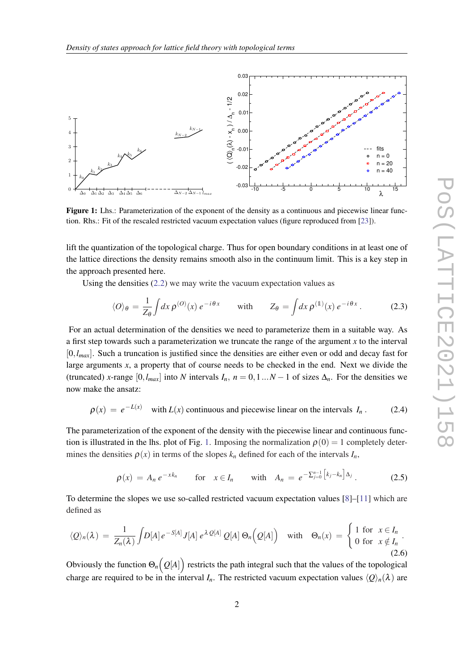<span id="page-2-0"></span>

Figure 1: Lhs.: Parameterization of the exponent of the density as a continuous and piecewise linear function. Rhs.: Fit of the rescaled restricted vacuum expectation values (figure reproduced from [\[23](#page-8-0)]).

lift the quantization of the topological charge. Thus for open boundary conditions in at least one of the lattice directions the density remains smooth also in the continuum limit. This is a key step in the approach presented here.

Using the densities [\(2.2\)](#page-1-0) we may write the vacuum expectation values as

$$
\langle O \rangle_{\theta} = \frac{1}{Z_{\theta}} \int dx \, \rho^{(O)}(x) \, e^{-i\theta x} \qquad \text{with} \qquad Z_{\theta} = \int dx \, \rho^{(1)}(x) \, e^{-i\theta x} \,. \tag{2.3}
$$

For an actual determination of the densities we need to parameterize them in a suitable way. As a first step towards such a parameterization we truncate the range of the argument *x* to the interval [0,*lmax*]. Such a truncation is justified since the densities are either even or odd and decay fast for large arguments *x*, a property that of course needs to be checked in the end. Next we divide the (truncated) *x*-range  $[0, l_{max}]$  into *N* intervals  $I_n$ ,  $n = 0, 1...N - 1$  of sizes  $\Delta_n$ . For the densities we now make the ansatz:

$$
\rho(x) = e^{-L(x)} \quad \text{with } L(x) \text{ continuous and piecewise linear on the intervals } I_n. \tag{2.4}
$$

The parameterization of the exponent of the density with the piecewise linear and continuous function is illustrated in the lhs. plot of Fig. 1. Imposing the normalization  $\rho(0) = 1$  completely determines the densities  $\rho(x)$  in terms of the slopes  $k_n$  defined for each of the intervals  $I_n$ ,

$$
\rho(x) = A_n e^{-x k_n} \qquad \text{for} \quad x \in I_n \qquad \text{with} \quad A_n = e^{-\sum_{j=0}^{n-1} \left[ k_j - k_n \right] \Delta_j} \,. \tag{2.5}
$$

To determine the slopes we use so-called restricted vacuum expectation values [\[8\]](#page-7-0)–[[11\]](#page-7-0) which are defined as

$$
\langle Q \rangle_n(\lambda) = \frac{1}{Z_n(\lambda)} \int D[A] e^{-S[A]} J[A] e^{\lambda Q[A]} Q[A] \Theta_n\Big(Q[A]\Big) \quad \text{with} \quad \Theta_n(x) = \begin{cases} 1 \text{ for } x \in I_n \\ 0 \text{ for } x \notin I_n \end{cases}.
$$
\n(2.6)

Obviously the function  $\Theta_n\big(Q[A]\big)$  restricts the path integral such that the values of the topological charge are required to be in the interval  $I_n$ . The restricted vacuum expectation values  $\langle Q \rangle_n(\lambda)$  are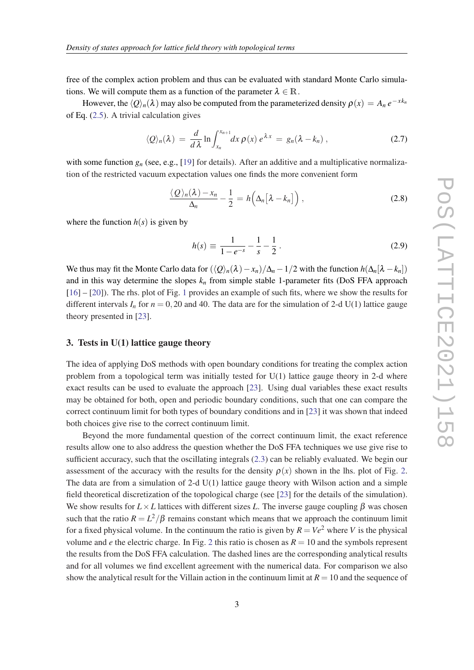free of the complex action problem and thus can be evaluated with standard Monte Carlo simulations. We will compute them as a function of the parameter  $\lambda \in \mathbb{R}$ .

However, the  $\langle Q \rangle_n(\lambda)$  may also be computed from the parameterized density  $\rho(x) = A_n e^{-x k_n}$ of Eq. [\(2.5\)](#page-2-0). A trivial calculation gives

$$
\langle Q \rangle_n(\lambda) = \frac{d}{d\lambda} \ln \int_{x_n}^{x_{n+1}} dx \, \rho(x) \, e^{\lambda x} = g_n(\lambda - k_n) \,, \tag{2.7}
$$

with some function  $g_n$  (see, e.g., [[19\]](#page-8-0) for details). After an additive and a multiplicative normalization of the restricted vacuum expectation values one finds the more convenient form

$$
\frac{\langle \mathcal{Q} \rangle_n(\lambda) - x_n}{\Delta_n} - \frac{1}{2} = h\Big(\Delta_n \big[\lambda - k_n\big]\Big) \,,\tag{2.8}
$$

where the function  $h(s)$  is given by

$$
h(s) \equiv \frac{1}{1 - e^{-s}} - \frac{1}{s} - \frac{1}{2} \,. \tag{2.9}
$$

We thus may fit the Monte Carlo data for  $(\langle Q \rangle_n(\lambda) - x_n)/\Delta_n - 1/2$  with the function  $h(\Delta_n[\lambda - k_n])$ and in this way determine the slopes  $k_n$  from simple stable 1-parameter fits (DoS FFA approach [[16\]](#page-8-0) – [[20\]](#page-8-0)). The rhs. plot of Fig. [1](#page-2-0) provides an example of such fits, where we show the results for different intervals  $I_n$  for  $n = 0,20$  and 40. The data are for the simulation of 2-d U(1) lattice gauge theory presented in [\[23](#page-8-0)].

## 3. Tests in U(1) lattice gauge theory

The idea of applying DoS methods with open boundary conditions for treating the complex action problem from a topological term was initially tested for  $U(1)$  lattice gauge theory in 2-d where exact results can be used to evaluate the approach [\[23](#page-8-0)]. Using dual variables these exact results may be obtained for both, open and periodic boundary conditions, such that one can compare the correct continuum limit for both types of boundary conditions and in [[23\]](#page-8-0) it was shown that indeed both choices give rise to the correct continuum limit.

Beyond the more fundamental question of the correct continuum limit, the exact reference results allow one to also address the question whether the DoS FFA techniques we use give rise to sufficient accuracy, such that the oscillating integrals [\(2.3](#page-2-0)) can be reliably evaluated. We begin our assessment of the accuracy with the results for the density  $\rho(x)$  shown in the lhs. plot of Fig. [2](#page-4-0). The data are from a simulation of 2-d  $U(1)$  lattice gauge theory with Wilson action and a simple field theoretical discretization of the topological charge (see [\[23](#page-8-0)] for the details of the simulation). We show results for  $L \times L$  lattices with different sizes *L*. The inverse gauge coupling  $\beta$  was chosen such that the ratio  $R = L^2/\beta$  remains constant which means that we approach the continuum limit for a fixed physical volume. In the continuum the ratio is given by  $R = Ve^2$  where *V* is the physical volume and *e* the electric charge. In Fig. [2](#page-4-0) this ratio is chosen as  $R = 10$  and the symbols represent the results from the DoS FFA calculation. The dashed lines are the corresponding analytical results and for all volumes we find excellent agreement with the numerical data. For comparison we also show the analytical result for the Villain action in the continuum limit at  $R = 10$  and the sequence of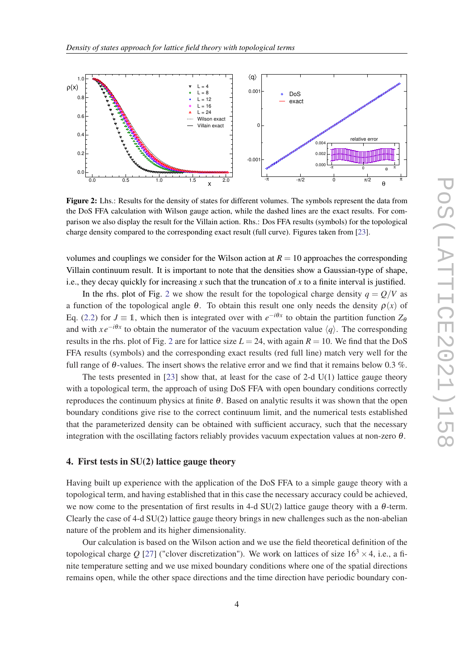<span id="page-4-0"></span>

Figure 2: Lhs.: Results for the density of states for different volumes. The symbols represent the data from the DoS FFA calculation with Wilson gauge action, while the dashed lines are the exact results. For comparison we also display the result for the Villain action. Rhs.: Dos FFA results (symbols) for the topological charge density compared to the corresponding exact result (full curve). Figures taken from [[23\]](#page-8-0).

volumes and couplings we consider for the Wilson action at  $R = 10$  approaches the corresponding Villain continuum result. It is important to note that the densities show a Gaussian-type of shape, i.e., they decay quickly for increasing  $x$  such that the truncation of  $x$  to a finite interval is justified.

In the rhs. plot of Fig. 2 we show the result for the topological charge density  $q = Q/V$  as a function of the topological angle  $\theta$ . To obtain this result one only needs the density  $\rho(x)$  of Eq. ([2.2](#page-1-0)) for  $J \equiv 1$ , which then is integrated over with  $e^{-i\theta x}$  to obtain the partition function  $Z_{\theta}$ and with *xe<sup>−<i>i*θ*x*</sup> to obtain the numerator of the vacuum expectation value  $\langle q \rangle$ . The corresponding results in the rhs. plot of Fig. 2 are for lattice size  $L = 24$ , with again  $R = 10$ . We find that the DoS FFA results (symbols) and the corresponding exact results (red full line) match very well for the full range of  $\theta$ -values. The insert shows the relative error and we find that it remains below 0.3 %.

The tests presented in  $[23]$  $[23]$  show that, at least for the case of 2-d U(1) lattice gauge theory with a topological term, the approach of using DoS FFA with open boundary conditions correctly reproduces the continuum physics at finite θ. Based on analytic results it was shown that the open boundary conditions give rise to the correct continuum limit, and the numerical tests established that the parameterized density can be obtained with sufficient accuracy, such that the necessary integration with the oscillating factors reliably provides vacuum expectation values at non-zero  $\theta$ .

## 4. First tests in SU(2) lattice gauge theory

Having built up experience with the application of the DoS FFA to a simple gauge theory with a topological term, and having established that in this case the necessary accuracy could be achieved, we now come to the presentation of first results in 4-d  $SU(2)$  lattice gauge theory with a  $\theta$ -term. Clearly the case of  $4-d$  SU(2) lattice gauge theory brings in new challenges such as the non-abelian nature of the problem and its higher dimensionality.

Our calculation is based on the Wilson action and we use the field theoretical definition of the topological charge *Q* [\[27](#page-8-0)] ("clover discretization"). We work on lattices of size  $16<sup>3</sup> \times 4$ , i.e., a finite temperature setting and we use mixed boundary conditions where one of the spatial directions remains open, while the other space directions and the time direction have periodic boundary con-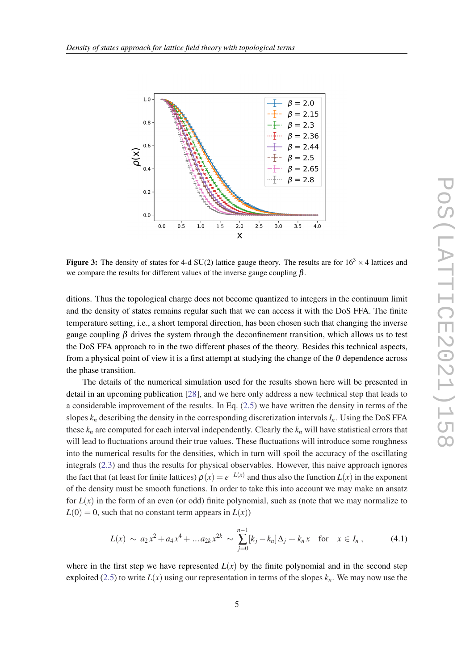<span id="page-5-0"></span>

Figure 3: The density of states for 4-d SU(2) lattice gauge theory. The results are for  $16<sup>3</sup> \times 4$  lattices and we compare the results for different values of the inverse gauge coupling  $\beta$ .

ditions. Thus the topological charge does not become quantized to integers in the continuum limit and the density of states remains regular such that we can access it with the DoS FFA. The finite temperature setting, i.e., a short temporal direction, has been chosen such that changing the inverse gauge coupling  $\beta$  drives the system through the deconfinement transition, which allows us to test the DoS FFA approach to in the two different phases of the theory. Besides this technical aspects, from a physical point of view it is a first attempt at studying the change of the  $\theta$  dependence across the phase transition.

The details of the numerical simulation used for the results shown here will be presented in detail in an upcoming publication [\[28](#page-8-0)], and we here only address a new technical step that leads to a considerable improvement of the results. In Eq. ([2.5](#page-2-0)) we have written the density in terms of the slopes  $k_n$  describing the density in the corresponding discretization intervals  $I_n$ . Using the DoS FFA these  $k_n$  are computed for each interval independently. Clearly the  $k_n$  will have statistical errors that will lead to fluctuations around their true values. These fluctuations will introduce some roughness into the numerical results for the densities, which in turn will spoil the accuracy of the oscillating integrals [\(2.3\)](#page-2-0) and thus the results for physical observables. However, this naive approach ignores the fact that (at least for finite lattices)  $\rho(x) = e^{-L(x)}$  and thus also the function  $L(x)$  in the exponent of the density must be smooth functions. In order to take this into account we may make an ansatz for  $L(x)$  in the form of an even (or odd) finite polynomial, such as (note that we may normalize to  $L(0) = 0$ , such that no constant term appears in  $L(x)$ )

$$
L(x) \sim a_2 x^2 + a_4 x^4 + \dots a_{2k} x^{2k} \sim \sum_{j=0}^{n-1} [k_j - k_n] \Delta_j + k_n x \text{ for } x \in I_n ,
$$
 (4.1)

where in the first step we have represented  $L(x)$  by the finite polynomial and in the second step exploited ([2.5](#page-2-0)) to write  $L(x)$  using our representation in terms of the slopes  $k_n$ . We may now use the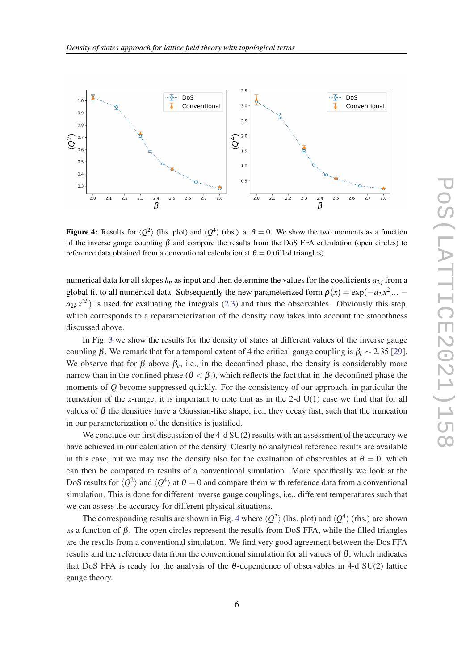

Figure 4: Results for  $\langle Q^2 \rangle$  (lhs. plot) and  $\langle Q^4 \rangle$  (rhs.) at  $\theta = 0$ . We show the two moments as a function of the inverse gauge coupling  $\beta$  and compare the results from the DoS FFA calculation (open circles) to reference data obtained from a conventional calculation at  $\theta = 0$  (filled triangles).

numerical data for all slopes  $k_n$  as input and then determine the values for the coefficients  $a_{2j}$  from a global fit to all numerical data. Subsequently the new parameterized form  $\rho(x) = \exp(-a_2 x^2 ...$  $a_{2k}x^{2k}$  is used for evaluating the integrals ([2.3\)](#page-2-0) and thus the observables. Obviously this step, which corresponds to a reparameterization of the density now takes into account the smoothness discussed above.

In Fig. [3](#page-5-0) we show the results for the density of states at different values of the inverse gauge coupling β. We remark that for a temporal extent of 4 the critical gauge coupling is  $β_c \sim 2.35$  [[29\]](#page-8-0). We observe that for  $\beta$  above  $\beta_c$ , i.e., in the deconfined phase, the density is considerably more narrow than in the confined phase ( $\beta < \beta_c$ ), which reflects the fact that in the deconfined phase the moments of *Q* become suppressed quickly. For the consistency of our approach, in particular the truncation of the *x*-range, it is important to note that as in the 2-d  $U(1)$  case we find that for all values of  $\beta$  the densities have a Gaussian-like shape, i.e., they decay fast, such that the truncation in our parameterization of the densities is justified.

We conclude our first discussion of the 4-d  $SU(2)$  results with an assessment of the accuracy we have achieved in our calculation of the density. Clearly no analytical reference results are available in this case, but we may use the density also for the evaluation of observables at  $\theta = 0$ , which can then be compared to results of a conventional simulation. More specifically we look at the DoS results for  $\langle Q^2 \rangle$  and  $\langle Q^4 \rangle$  at  $\theta = 0$  and compare them with reference data from a conventional simulation. This is done for different inverse gauge couplings, i.e., different temperatures such that we can assess the accuracy for different physical situations.

The corresponding results are shown in Fig. 4 where  $\langle Q^2 \rangle$  (lhs. plot) and  $\langle Q^4 \rangle$  (rhs.) are shown as a function of  $\beta$ . The open circles represent the results from DoS FFA, while the filled triangles are the results from a conventional simulation. We find very good agreement between the Dos FFA results and the reference data from the conventional simulation for all values of  $\beta$ , which indicates that DoS FFA is ready for the analysis of the  $\theta$ -dependence of observables in 4-d SU(2) lattice gauge theory.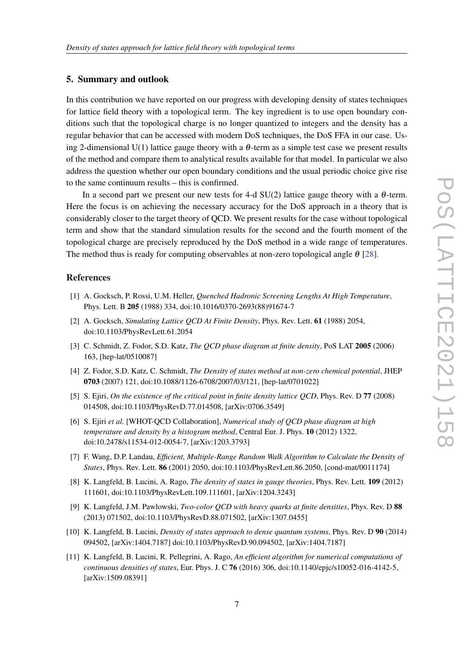#### <span id="page-7-0"></span>5. Summary and outlook

In this contribution we have reported on our progress with developing density of states techniques for lattice field theory with a topological term. The key ingredient is to use open boundary conditions such that the topological charge is no longer quantized to integers and the density has a regular behavior that can be accessed with modern DoS techniques, the DoS FFA in our case. Using 2-dimensional U(1) lattice gauge theory with a  $\theta$ -term as a simple test case we present results of the method and compare them to analytical results available for that model. In particular we also address the question whether our open boundary conditions and the usual periodic choice give rise to the same continuum results – this is confirmed.

In a second part we present our new tests for 4-d  $SU(2)$  lattice gauge theory with a  $\theta$ -term. Here the focus is on achieving the necessary accuracy for the DoS approach in a theory that is considerably closer to the target theory of QCD. We present results for the case without topological term and show that the standard simulation results for the second and the fourth moment of the topological charge are precisely reproduced by the DoS method in a wide range of temperatures. The method thus is ready for computing observables at non-zero topological angle  $\theta$  [[28\]](#page-8-0).

### References

- [1] A. Gocksch, P. Rossi, U.M. Heller, *Quenched Hadronic Screening Lengths At High Temperature*, Phys. Lett. B 205 (1988) 334, doi:10.1016/0370-2693(88)91674-7
- [2] A. Gocksch, *Simulating Lattice QCD At Finite Density*, Phys. Rev. Lett. 61 (1988) 2054, doi:10.1103/PhysRevLett.61.2054
- [3] C. Schmidt, Z. Fodor, S.D. Katz, *The QCD phase diagram at finite density*, PoS LAT 2005 (2006) 163, [hep-lat/0510087]
- [4] Z. Fodor, S.D. Katz, C. Schmidt, *The Density of states method at non-zero chemical potential*, JHEP 0703 (2007) 121, doi:10.1088/1126-6708/2007/03/121, [hep-lat/0701022]
- [5] S. Ejiri, *On the existence of the critical point in finite density lattice QCD*, Phys. Rev. D 77 (2008) 014508, doi:10.1103/PhysRevD.77.014508, [arXiv:0706.3549]
- [6] S. Ejiri *et al.* [WHOT-QCD Collaboration], *Numerical study of QCD phase diagram at high temperature and density by a histogram method*, Central Eur. J. Phys. 10 (2012) 1322, doi:10.2478/s11534-012-0054-7, [arXiv:1203.3793]
- [7] F. Wang, D.P. Landau, *Efficient, Multiple-Range Random Walk Algorithm to Calculate the Density of States*, Phys. Rev. Lett. 86 (2001) 2050, doi:10.1103/PhysRevLett.86.2050, [cond-mat/0011174]
- [8] K. Langfeld, B. Lucini, A. Rago, *The density of states in gauge theories*, Phys. Rev. Lett. 109 (2012) 111601, doi:10.1103/PhysRevLett.109.111601, [arXiv:1204.3243]
- [9] K. Langfeld, J.M. Pawlowski, *Two-color QCD with heavy quarks at finite densities*, Phys. Rev. D 88 (2013) 071502, doi:10.1103/PhysRevD.88.071502, [arXiv:1307.0455]
- [10] K. Langfeld, B. Lucini, *Density of states approach to dense quantum systems*, Phys. Rev. D 90 (2014) 094502, [arXiv:1404.7187] doi:10.1103/PhysRevD.90.094502, [arXiv:1404.7187]
- [11] K. Langfeld, B. Lucini, R. Pellegrini, A. Rago, *An efficient algorithm for numerical computations of continuous densities of states*, Eur. Phys. J. C 76 (2016) 306, doi:10.1140/epjc/s10052-016-4142-5, [arXiv:1509.08391]